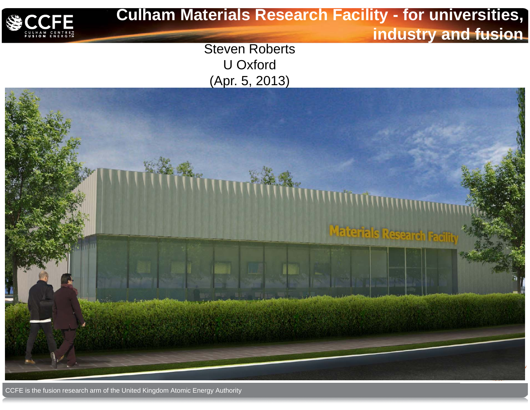

Steven RobertsU Oxford (Apr. 5, 2013)

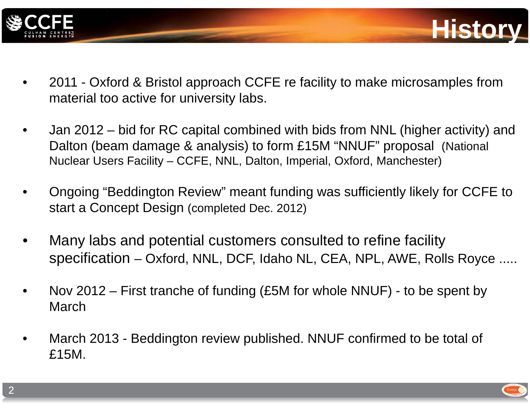

- $\bullet$  2011 - Oxford & Bristol approach CCFE re facility to make microsamples from material too active for university labs.
- $\bullet$  Jan 2012 – bid for RC capital combined with bids from NNL (higher activity) and Dalton (beam damage & analysis) to form £15M "NNUF" proposal (National Nuclear Users Facility – CCFE, NNL, Dalton, Imperial, Oxford, Manchester)
- • Ongoing "Beddington Review" meant funding was sufficiently likely for CCFE to start a Concept Design (completed Dec. 2012)
- • Many labs and potential customers consulted to refine facility specification – Oxford, NNL, DCF, Idaho NL, CEA, NPL, AWE, Rolls Royce .....
- • Nov 2012 – First tranche of funding (£5M for whole NNUF) - to be spent by **March**
- • March 2013 - Beddington review published. NNUF confirmed to be total of £15M.



**History**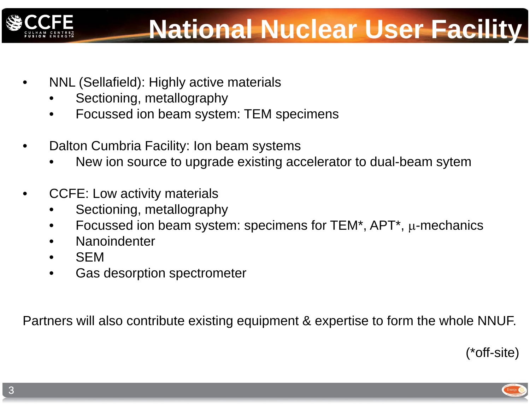

## **National Nuclear User Facility**

- • NNL (Sellafield): Highly active materials
	- •Sectioning, metallography
	- •Focussed ion beam system: TEM specimens
- • Dalton Cumbria Facility: Ion beam systems
	- •New ion source to upgrade existing accelerator to dual-beam sytem
- • CCFE: Low activity materials
	- •Sectioning, metallography
	- •Focussed ion beam system: specimens for TEM\*,  $APT^*$ ,  $\mu$ -mechanics
	- •Nanoindenter
	- •SEM
	- •Gas desorption spectrometer

Partners will also contribute existing equipment & expertise to form the whole NNUF.

(\*off-site)

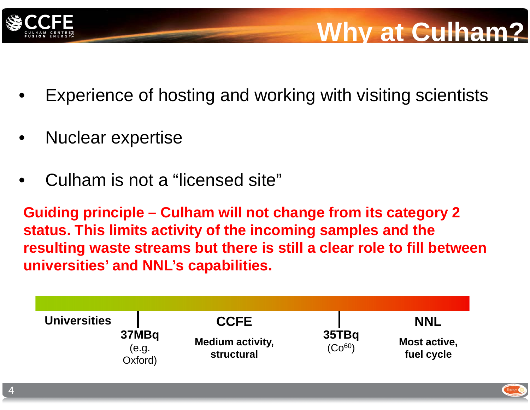

- •Experience of hosting and working with visiting scientists
- •Nuclear expertise
- •Culham is not a "licensed site"

**Guiding principle – Culham will not change from its category 2 status. This limits activity of the incoming samples and the resulting waste streams but there is still a clear role to fill between universities' and NNL's capabilities.**

![](_page_3_Figure_6.jpeg)

![](_page_3_Picture_7.jpeg)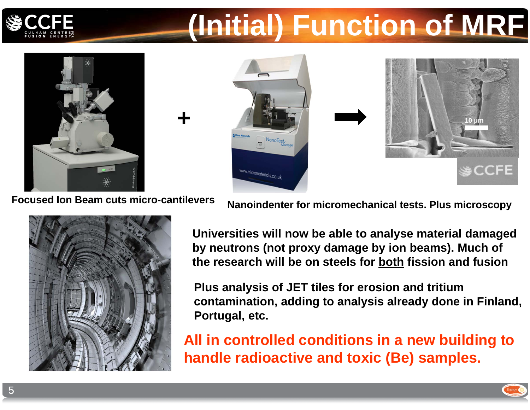![](_page_4_Picture_0.jpeg)

## **(Initial) Function of MRF**

![](_page_4_Picture_2.jpeg)

![](_page_4_Picture_3.jpeg)

**Focused Ion Beam cuts micro-cantilevers**

**+**

**Nanoindenter for micromechanical tests. Plus microscopy**

![](_page_4_Picture_6.jpeg)

**Universities will now be able to analyse material damaged by neutrons (not proxy damage by ion beams). Much of the research will be on steels for both fission and fusion**

**Plus analysis of JET tiles for erosion and tritium contamination, adding to analysis already done in Finland, Portugal, etc.**

**All in controlled conditions in a new building to handle radioactive and toxic (Be) samples.** 

![](_page_4_Picture_10.jpeg)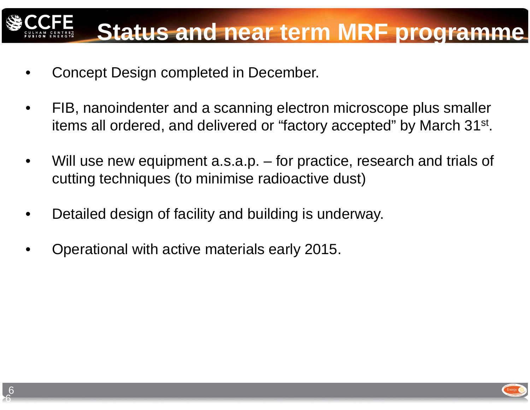![](_page_5_Picture_0.jpeg)

- •Concept Design completed in December.
- • FIB, nanoindenter and a scanning electron microscope plus smaller items all ordered, and delivered or "factory accepted" by March 31<sup>st</sup>.
- • Will use new equipment a.s.a.p. – for practice, research and trials of cutting techniques (to minimise radioactive dust)
- •Detailed design of facility and building is underway.
- •Operational with active materials early 2015.

![](_page_5_Picture_7.jpeg)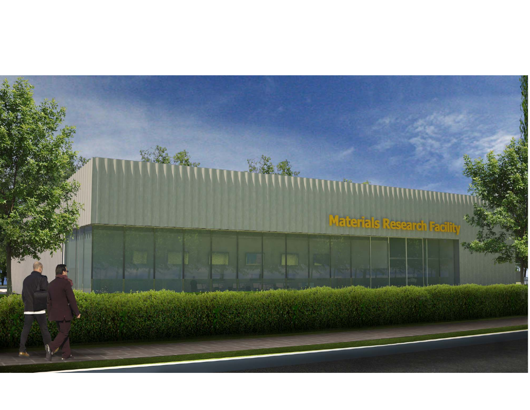![](_page_6_Picture_0.jpeg)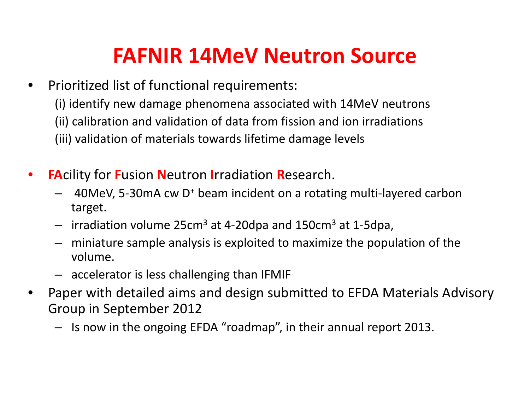## **FAFNIR 14MeV Neutron Source**

•• Prioritized list of functional requirements:

(i) identify new damage phenomena associated with 14MeV neutrons (ii) calibration and validation of data from fission and ion irradiations (iii) validation of materials towards lifetime damage levels

- • **FA**cility for **F**usion **N**eutron **I**rradiation **R**esearch.
	- 40MeV, 5-30mA cw D<sup>+</sup> beam incident on a rotating multi-layered carbon target.
	- $-$  irradiation volume 25cm $^{\rm 3}$  at 4-20dpa and 150cm $^{\rm 3}$  at 1-5dpa,
	- miniature sample analysis is exploited to maximize the population of the volume.
	- accelerator is less challenging than IFMIF
- • Paper with detailed aims and design submitted to EFDA Materials Advisory Group in September 2012
	- Is now in the ongoing EFDA "roadmap", in their annual report 2013.